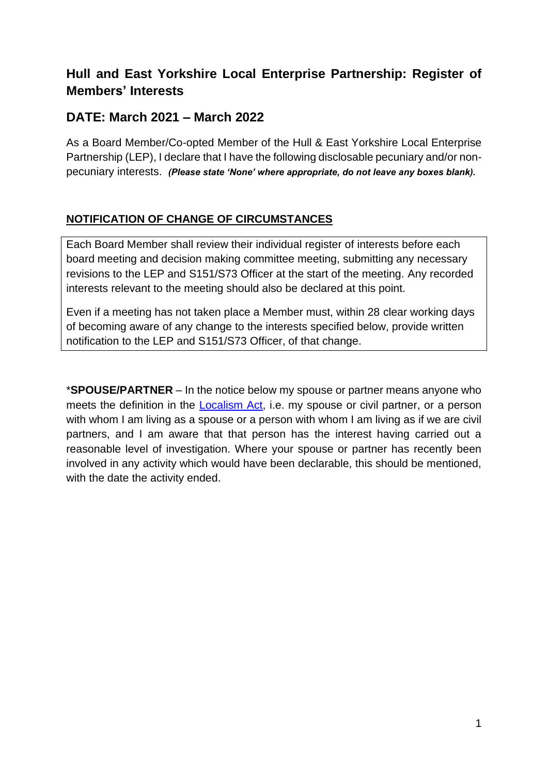## **Hull and East Yorkshire Local Enterprise Partnership: Register of Members' Interests**

## **DATE: March 2021 – March 2022**

As a Board Member/Co-opted Member of the Hull & East Yorkshire Local Enterprise Partnership (LEP), I declare that I have the following disclosable pecuniary and/or nonpecuniary interests. *(Please state 'None' where appropriate, do not leave any boxes blank).*

#### **NOTIFICATION OF CHANGE OF CIRCUMSTANCES**

Each Board Member shall review their individual register of interests before each board meeting and decision making committee meeting, submitting any necessary revisions to the LEP and S151/S73 Officer at the start of the meeting. Any recorded interests relevant to the meeting should also be declared at this point.

Even if a meeting has not taken place a Member must, within 28 clear working days of becoming aware of any change to the interests specified below, provide written notification to the LEP and S151/S73 Officer, of that change.

\***SPOUSE/PARTNER** – In the notice below my spouse or partner means anyone who meets the definition in the [Localism Act,](http://www.legislation.gov.uk/ukpga/2011/20/contents/enacted) i.e. my spouse or civil partner, or a person with whom I am living as a spouse or a person with whom I am living as if we are civil partners, and I am aware that that person has the interest having carried out a reasonable level of investigation. Where your spouse or partner has recently been involved in any activity which would have been declarable, this should be mentioned, with the date the activity ended.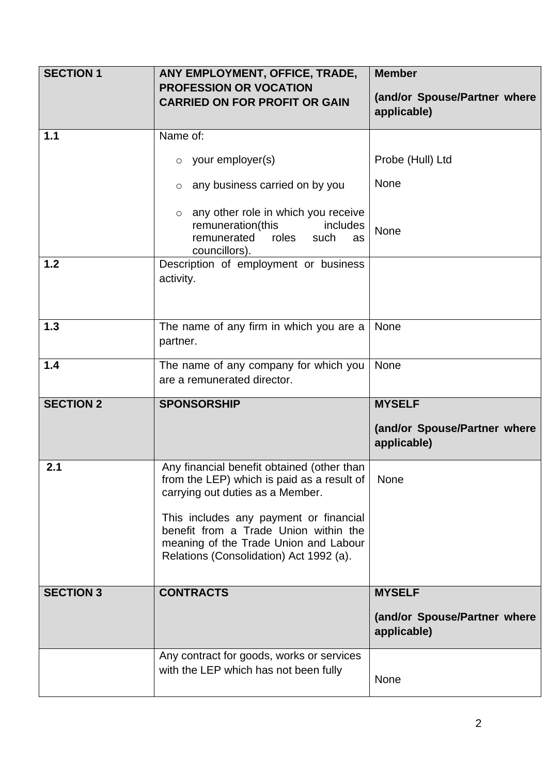| <b>SECTION 1</b> | ANY EMPLOYMENT, OFFICE, TRADE,<br><b>PROFESSION OR VOCATION</b><br><b>CARRIED ON FOR PROFIT OR GAIN</b>                                                             | <b>Member</b><br>(and/or Spouse/Partner where |
|------------------|---------------------------------------------------------------------------------------------------------------------------------------------------------------------|-----------------------------------------------|
|                  |                                                                                                                                                                     | applicable)                                   |
| 1.1              | Name of:                                                                                                                                                            |                                               |
|                  | your employer(s)<br>$\circ$                                                                                                                                         | Probe (Hull) Ltd                              |
|                  | any business carried on by you<br>$\circ$                                                                                                                           | None                                          |
|                  | any other role in which you receive<br>$\circ$<br>remuneration(this<br>includes<br>remunerated<br>roles<br>such<br>as<br>councillors).                              | None                                          |
| 1.2              | Description of employment or business<br>activity.                                                                                                                  |                                               |
| 1.3              | The name of any firm in which you are a<br>partner.                                                                                                                 | None                                          |
| 1.4              | The name of any company for which you<br>are a remunerated director.                                                                                                | None                                          |
| <b>SECTION 2</b> | <b>SPONSORSHIP</b>                                                                                                                                                  | <b>MYSELF</b>                                 |
|                  |                                                                                                                                                                     | (and/or Spouse/Partner where<br>applicable)   |
| 2.1              | Any financial benefit obtained (other than<br>from the LEP) which is paid as a result of<br>carrying out duties as a Member.                                        | None                                          |
|                  | This includes any payment or financial<br>benefit from a Trade Union within the<br>meaning of the Trade Union and Labour<br>Relations (Consolidation) Act 1992 (a). |                                               |
| <b>SECTION 3</b> | <b>CONTRACTS</b>                                                                                                                                                    | <b>MYSELF</b>                                 |
|                  |                                                                                                                                                                     | (and/or Spouse/Partner where<br>applicable)   |
|                  | Any contract for goods, works or services<br>with the LEP which has not been fully                                                                                  | None                                          |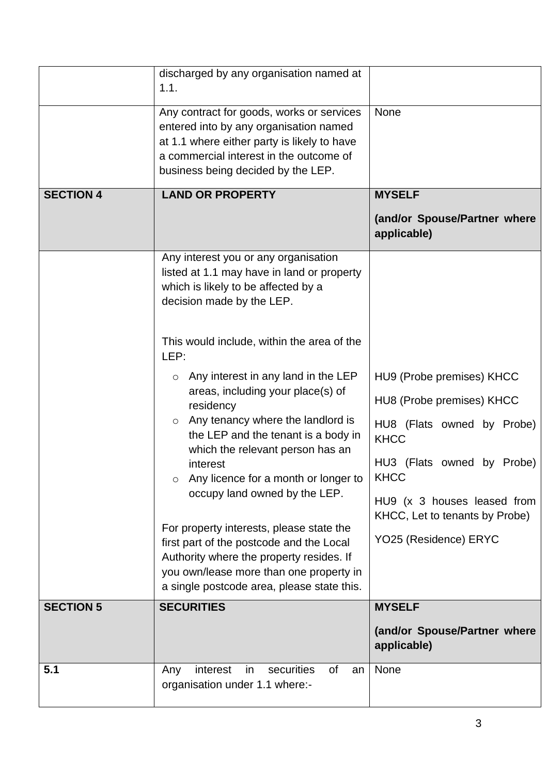|                  | discharged by any organisation named at<br>1.1.                                                                                                                                                                                                                                                                                     |                                                                                                                                                                                                                   |
|------------------|-------------------------------------------------------------------------------------------------------------------------------------------------------------------------------------------------------------------------------------------------------------------------------------------------------------------------------------|-------------------------------------------------------------------------------------------------------------------------------------------------------------------------------------------------------------------|
|                  | Any contract for goods, works or services<br>entered into by any organisation named<br>at 1.1 where either party is likely to have<br>a commercial interest in the outcome of<br>business being decided by the LEP.                                                                                                                 | None                                                                                                                                                                                                              |
| <b>SECTION 4</b> | <b>LAND OR PROPERTY</b>                                                                                                                                                                                                                                                                                                             | <b>MYSELF</b>                                                                                                                                                                                                     |
|                  |                                                                                                                                                                                                                                                                                                                                     | (and/or Spouse/Partner where<br>applicable)                                                                                                                                                                       |
|                  | Any interest you or any organisation<br>listed at 1.1 may have in land or property<br>which is likely to be affected by a<br>decision made by the LEP.<br>This would include, within the area of the                                                                                                                                |                                                                                                                                                                                                                   |
|                  | LEP:<br>Any interest in any land in the LEP<br>$\circ$<br>areas, including your place(s) of<br>residency<br>Any tenancy where the landlord is<br>$\circ$<br>the LEP and the tenant is a body in<br>which the relevant person has an<br>interest<br>Any licence for a month or longer to<br>$\circ$<br>occupy land owned by the LEP. | HU9 (Probe premises) KHCC<br>HU8 (Probe premises) KHCC<br>HU8 (Flats owned by Probe)<br><b>KHCC</b><br>HU3 (Flats owned by Probe)<br><b>KHCC</b><br>HU9 (x 3 houses leased from<br>KHCC, Let to tenants by Probe) |
|                  | For property interests, please state the<br>first part of the postcode and the Local<br>Authority where the property resides. If<br>you own/lease more than one property in<br>a single postcode area, please state this.                                                                                                           | YO25 (Residence) ERYC                                                                                                                                                                                             |
| <b>SECTION 5</b> | <b>SECURITIES</b>                                                                                                                                                                                                                                                                                                                   | <b>MYSELF</b><br>(and/or Spouse/Partner where<br>applicable)                                                                                                                                                      |
| 5.1              | securities<br>of<br>interest<br>in<br>Any<br>an<br>organisation under 1.1 where:-                                                                                                                                                                                                                                                   | None                                                                                                                                                                                                              |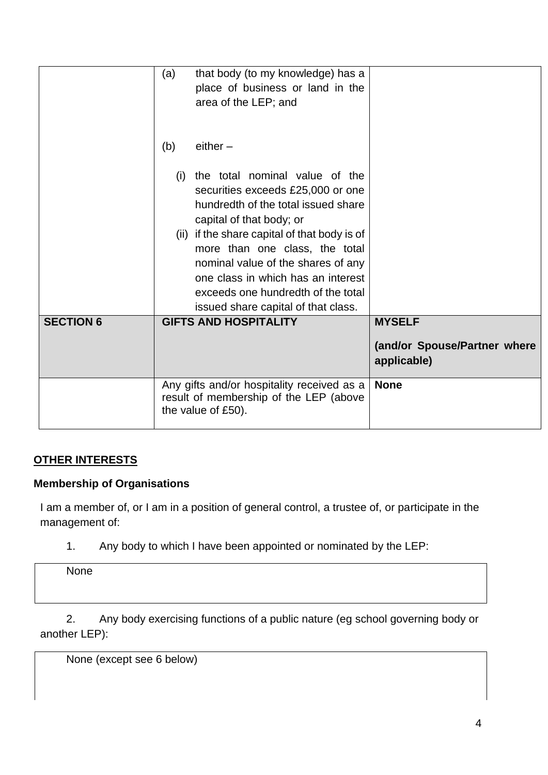|                  | (a)                                    | that body (to my knowledge) has a            |                              |
|------------------|----------------------------------------|----------------------------------------------|------------------------------|
|                  |                                        | place of business or land in the             |                              |
|                  |                                        | area of the LEP; and                         |                              |
|                  |                                        |                                              |                              |
|                  |                                        |                                              |                              |
|                  | (b)                                    | $either -$                                   |                              |
|                  |                                        | (i) the total nominal value of the           |                              |
|                  |                                        | securities exceeds £25,000 or one            |                              |
|                  |                                        | hundredth of the total issued share          |                              |
|                  |                                        | capital of that body; or                     |                              |
|                  |                                        | (ii) if the share capital of that body is of |                              |
|                  |                                        | more than one class, the total               |                              |
|                  |                                        | nominal value of the shares of any           |                              |
|                  |                                        | one class in which has an interest           |                              |
|                  |                                        |                                              |                              |
|                  |                                        | exceeds one hundredth of the total           |                              |
|                  |                                        | issued share capital of that class.          |                              |
| <b>SECTION 6</b> |                                        | <b>GIFTS AND HOSPITALITY</b>                 | <b>MYSELF</b>                |
|                  |                                        |                                              | (and/or Spouse/Partner where |
|                  |                                        |                                              |                              |
|                  |                                        |                                              | applicable)                  |
|                  |                                        | Any gifts and/or hospitality received as a   | <b>None</b>                  |
|                  | result of membership of the LEP (above |                                              |                              |
|                  |                                        | the value of £50).                           |                              |
|                  |                                        |                                              |                              |

## **OTHER INTERESTS**

#### **Membership of Organisations**

I am a member of, or I am in a position of general control, a trustee of, or participate in the management of:

1. Any body to which I have been appointed or nominated by the LEP:

**None** 

2. Any body exercising functions of a public nature (eg school governing body or another LEP):

None (except see 6 below)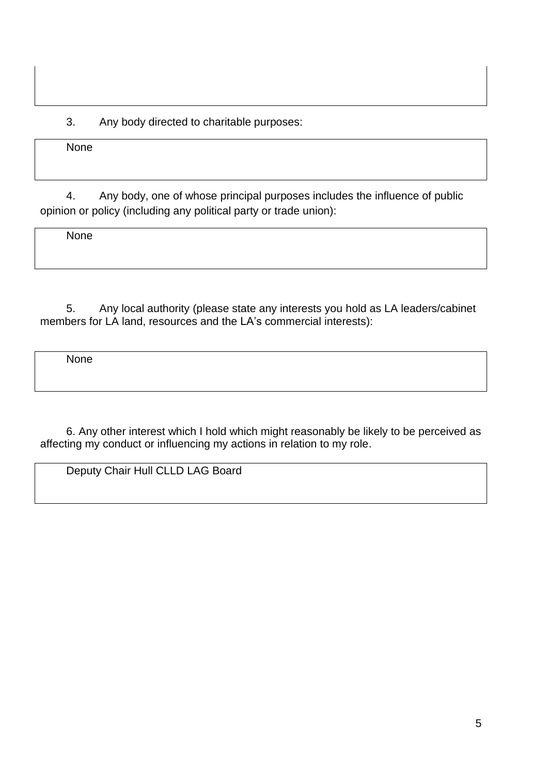3. Any body directed to charitable purposes:

None

4. Any body, one of whose principal purposes includes the influence of public opinion or policy (including any political party or trade union):

None

5. Any local authority (please state any interests you hold as LA leaders/cabinet members for LA land, resources and the LA's commercial interests):

None

6. Any other interest which I hold which might reasonably be likely to be perceived as affecting my conduct or influencing my actions in relation to my role.

Deputy Chair Hull CLLD LAG Board